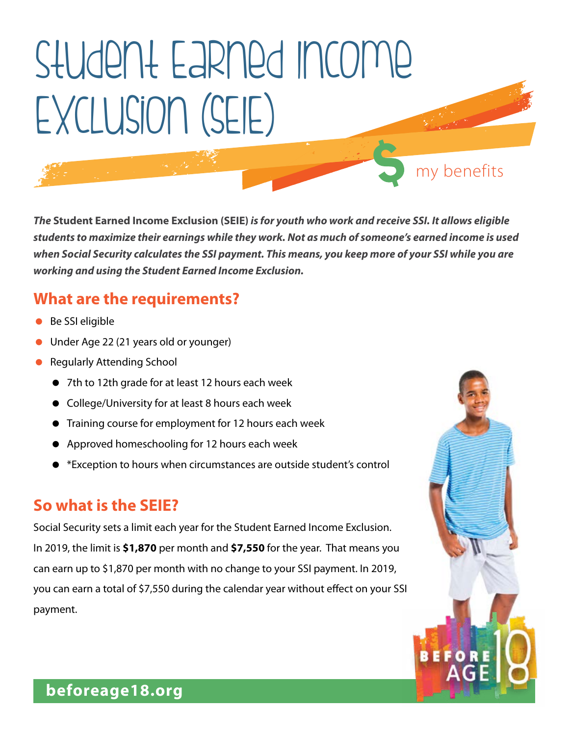# Student Earned Income Exclusion (sEIE)

*The* **Student Earned Income Exclusion (SEIE)** *is for youth who work and receive SSI. It allows eligible students to maximize their earnings while they work. Not as much of someone's earned income is used when Social Security calculates the SSI payment. This means, you keep more of your SSI while you are working and using the Student Earned Income Exclusion.* 

my benefits

**BEFOR** 

## **What are the requirements?**

- Be SSI eligible
- **•** Under Age 22 (21 years old or younger)
- **Regularly Attending School** 
	- 7th to 12th grade for at least 12 hours each week
	- College/University for at least 8 hours each week
	- Training course for employment for 12 hours each week
	- Approved homeschooling for 12 hours each week
	- \*Exception to hours when circumstances are outside student's control

### **So what is the SEIE?**

Social Security sets a limit each year for the Student Earned Income Exclusion. In 2019, the limit is **\$1,870** per month and **\$7,550** for the year. That means you can earn up to \$1,870 per month with no change to your SSI payment. In 2019, you can earn a total of \$7,550 during the calendar year without effect on your SSI payment.